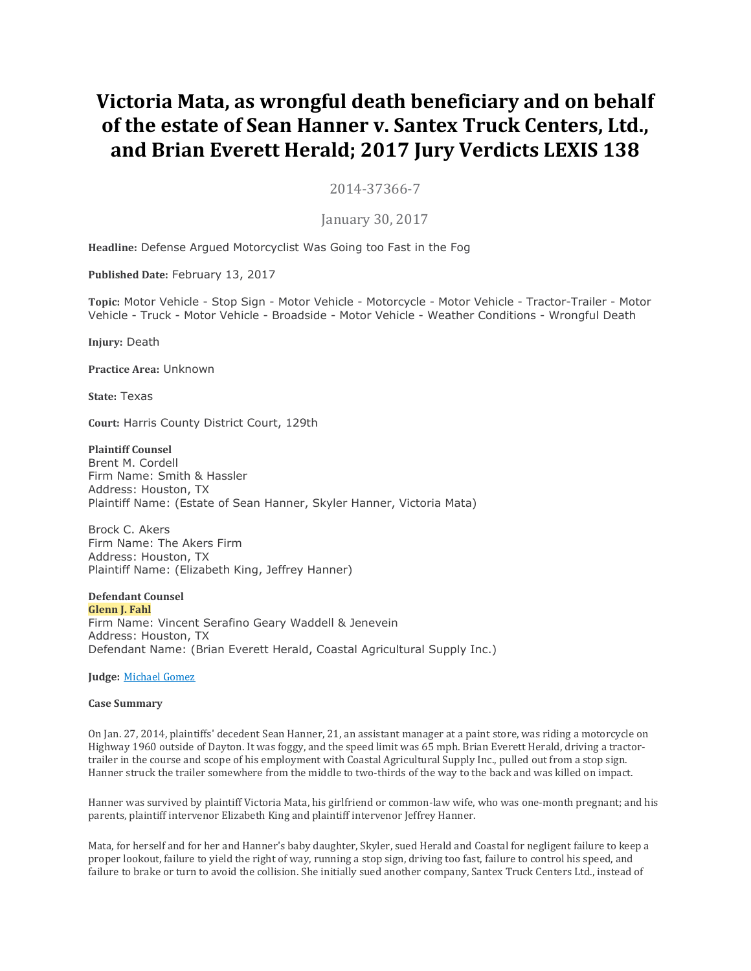# **Victoria Mata, as wrongful death beneficiary and on behalf of the estate of Sean Hanner v. Santex Truck Centers, Ltd., and Brian Everett Herald; 2017 Jury Verdicts LEXIS 138**

2014-37366-7

January 30, 2017

**Headline:** Defense Argued Motorcyclist Was Going too Fast in the Fog

**Published Date:** February 13, 2017

**Topic:** Motor Vehicle - Stop Sign - Motor Vehicle - Motorcycle - Motor Vehicle - Tractor-Trailer - Motor Vehicle - Truck - Motor Vehicle - Broadside - Motor Vehicle - Weather Conditions - Wrongful Death

**Injury:** Death

**Practice Area:** Unknown

**State:** Texas

**Court:** Harris County District Court, 129th

**Plaintiff Counsel**

Brent M. Cordell Firm Name: Smith & Hassler Address: Houston, TX Plaintiff Name: (Estate of Sean Hanner, Skyler Hanner, Victoria Mata)

Brock C. Akers Firm Name: The Akers Firm Address: Houston, TX Plaintiff Name: (Elizabeth King, Jeffrey Hanner)

**Defendant Counsel Glenn J. Fahl**

Firm Name: Vincent Serafino Geary Waddell & Jenevein Address: Houston, TX Defendant Name: (Brian Everett Herald, Coastal Agricultural Supply Inc.)

**Judge:** [Michael](https://advance.lexis.com/document/vsadocumentlever/?pdmfid=1000117&crid=1d290c00-e4ec-4790-a8e6-afa0eb5fb704&pddocfullpath=%2Fshared%2Fdocument%2Fjury-verdicts-settlements%2Furn%3AcontentItem%3A5MW0-NYP0-01C2-61MV-00000-00&pdcomponentid=30345&ecomp=zdLk&earg=sr3&prid=1db4fee8-7ca8-4085-a8c8-8a08975d141c) Gomez

## **Case Summary**

On Jan. 27, 2014, plaintiffs' decedent Sean Hanner, 21, an assistant manager at a paint store, was riding a motorcycle on Highway 1960 outside of Dayton. It was foggy, and the speed limit was 65 mph. Brian Everett Herald, driving a tractortrailer in the course and scope of his employment with Coastal Agricultural Supply Inc., pulled out from a stop sign. Hanner struck the trailer somewhere from the middle to two-thirds of the way to the back and was killed on impact.

Hanner was survived by plaintiff Victoria Mata, his girlfriend or common-law wife, who was one-month pregnant; and his parents, plaintiff intervenor Elizabeth King and plaintiff intervenor Jeffrey Hanner.

Mata, for herself and for her and Hanner's baby daughter, Skyler, sued Herald and Coastal for negligent failure to keep a proper lookout, failure to yield the right of way, running a stop sign, driving too fast, failure to control his speed, and failure to brake or turn to avoid the collision. She initially sued another company, Santex Truck Centers Ltd., instead of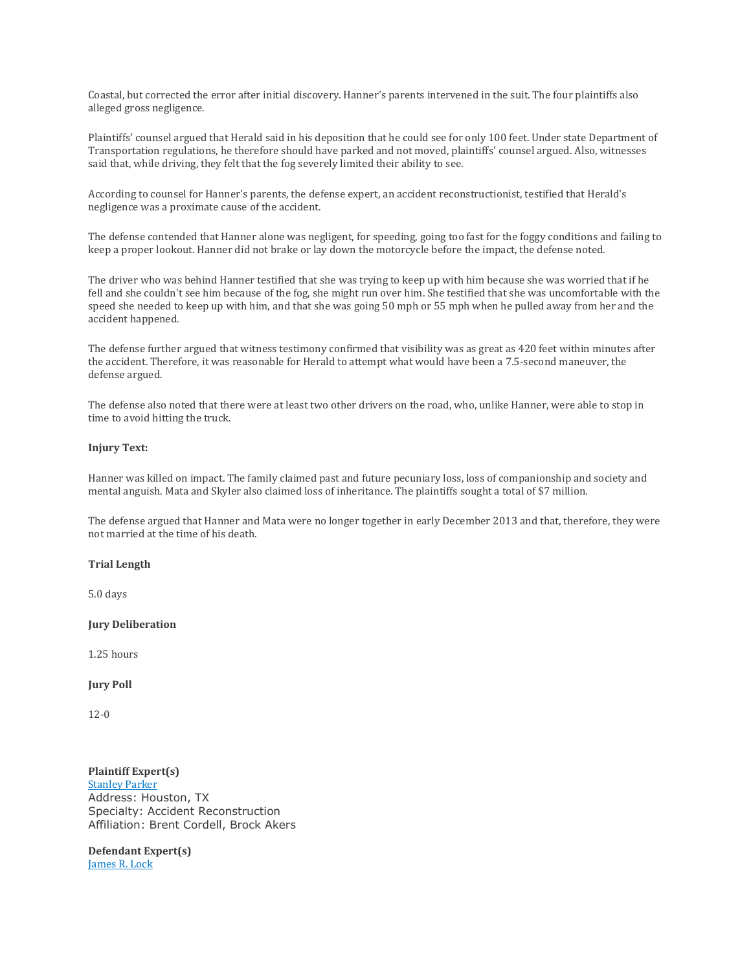Coastal, but corrected the error after initial discovery. Hanner's parents intervened in the suit. The four plaintiffs also alleged gross negligence.

Plaintiffs' counsel argued that Herald said in his deposition that he could see for only 100 feet. Under state Department of Transportation regulations, he therefore should have parked and not moved, plaintiffs' counsel argued. Also, witnesses said that, while driving, they felt that the fog severely limited their ability to see.

According to counsel for Hanner's parents, the defense expert, an accident reconstructionist, testified that Herald's negligence was a proximate cause of the accident.

The defense contended that Hanner alone was negligent, for speeding, going too fast for the foggy conditions and failing to keep a proper lookout. Hanner did not brake or lay down the motorcycle before the impact, the defense noted.

The driver who was behind Hanner testified that she was trying to keep up with him because she was worried that if he fell and she couldn't see him because of the fog, she might run over him. She testified that she was uncomfortable with the speed she needed to keep up with him, and that she was going 50 mph or 55 mph when he pulled away from her and the accident happened.

The defense further argued that witness testimony confirmed that visibility was as great as 420 feet within minutes after the accident. Therefore, it was reasonable for Herald to attempt what would have been a 7.5-second maneuver, the defense argued.

The defense also noted that there were at least two other drivers on the road, who, unlike Hanner, were able to stop in time to avoid hitting the truck.

## **Injury Text:**

Hanner was killed on impact. The family claimed past and future pecuniary loss, loss of companionship and society and mental anguish. Mata and Skyler also claimed loss of inheritance. The plaintiffs sought a total of \$7 million.

The defense argued that Hanner and Mata were no longer together in early December 2013 and that, therefore, they were not married at the time of his death.

## **Trial Length**

5.0 days

## **Jury Deliberation**

1.25 hours

## **Jury Poll**

12-0

**Plaintiff Expert(s)** [Stanley](https://advance.lexis.com/document/vsadocumentlever/?pdmfid=1000117&crid=1d290c00-e4ec-4790-a8e6-afa0eb5fb704&pddocfullpath=%2Fshared%2Fdocument%2Fjury-verdicts-settlements%2Furn%3AcontentItem%3A5MW0-NYP0-01C2-61MV-00000-00&pdcomponentid=30345&ecomp=zdLk&earg=sr3&prid=1db4fee8-7ca8-4085-a8c8-8a08975d141c) Parker Address: Houston, TX Specialty: Accident Reconstruction Affiliation: Brent Cordell, Brock Akers

**Defendant Expert(s)** [James](https://advance.lexis.com/document/vsadocumentlever/?pdmfid=1000117&crid=1d290c00-e4ec-4790-a8e6-afa0eb5fb704&pddocfullpath=%2Fshared%2Fdocument%2Fjury-verdicts-settlements%2Furn%3AcontentItem%3A5MW0-NYP0-01C2-61MV-00000-00&pdcomponentid=30345&ecomp=zdLk&earg=sr3&prid=1db4fee8-7ca8-4085-a8c8-8a08975d141c) R. Lock